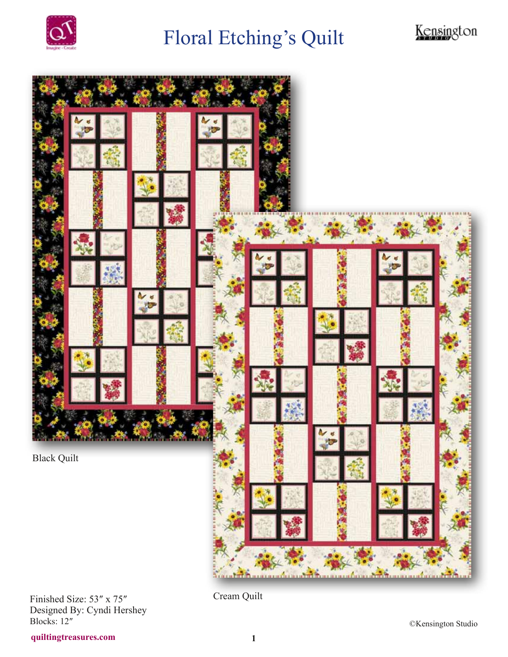

## Floral Etching's Quilt





Finished Size: 53″ x 75″ Designed By: Cyndi Hershey Blocks: 12″

Cream Quilt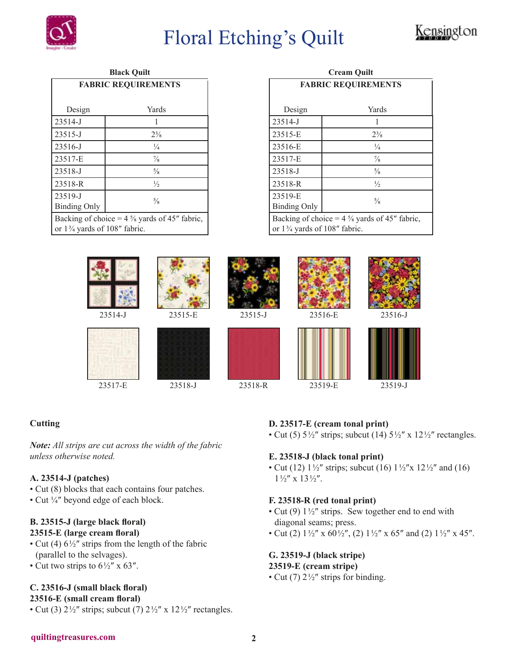

## Floral Etching's Quilt



| <b>Black Quilt</b>                                                                                 |                |
|----------------------------------------------------------------------------------------------------|----------------|
| <b>FABRIC REQUIREMENTS</b>                                                                         |                |
|                                                                                                    |                |
| Design                                                                                             | Yards          |
| 23514-J                                                                                            | 1              |
| 23515-J                                                                                            | $2\frac{3}{8}$ |
| 23516-J                                                                                            | $\frac{1}{4}$  |
| 23517-E                                                                                            | $\frac{7}{8}$  |
| 23518-J                                                                                            | $\frac{5}{8}$  |
| 23518-R                                                                                            | $\frac{1}{2}$  |
| 23519-J                                                                                            | $\frac{5}{8}$  |
| <b>Binding Only</b>                                                                                |                |
| Backing of choice = $4\frac{5}{8}$ yards of 45" fabric,<br>or $1\frac{3}{4}$ yards of 108" fabric. |                |

| <b>Cream Ouilt</b>                                                                                 |                |  |
|----------------------------------------------------------------------------------------------------|----------------|--|
| <b>FABRIC REQUIREMENTS</b>                                                                         |                |  |
| Design                                                                                             | Yards          |  |
| 23514-J                                                                                            |                |  |
| 23515-E                                                                                            | $2\frac{3}{8}$ |  |
| 23516-E                                                                                            | $\frac{1}{4}$  |  |
| 23517-E                                                                                            | $\frac{7}{8}$  |  |
| 23518-J                                                                                            | $\frac{5}{8}$  |  |
| 23518-R                                                                                            | $\frac{1}{2}$  |  |
| 23519-E<br><b>Binding Only</b>                                                                     | $\frac{5}{8}$  |  |
| Backing of choice = $4\frac{5}{8}$ yards of 45" fabric,<br>or $1\frac{3}{4}$ yards of 108" fabric. |                |  |



#### **Cutting**

*Note: All strips are cut across the width of the fabric unless otherwise noted.* 

#### **A. 23514-J (patches)**

- Cut (8) blocks that each contains four patches.
- Cut ¼″ beyond edge of each block.

### **B. 23515-J (large black floral)**

- **23515-E (large cream floral)** • Cut (4)  $6\frac{1}{2}$ " strips from the length of the fabric
- (parallel to the selvages).
- Cut two strips to  $6\frac{1}{2}$ " x 63".

#### **C. 23516-J (small black floral)**

**23516-E (small cream floral)**

• Cut (3)  $2\frac{1}{2}$ " strips; subcut (7)  $2\frac{1}{2}$ " x  $12\frac{1}{2}$ " rectangles.

#### **D. 23517-E (cream tonal print)**

• Cut (5)  $5\frac{1}{2}$ " strips; subcut (14)  $5\frac{1}{2}$ " x  $12\frac{1}{2}$ " rectangles.

#### **E. 23518-J (black tonal print)**

• Cut (12)  $1\frac{1}{2}$ " strips; subcut (16)  $1\frac{1}{2}$ " x  $12\frac{1}{2}$ " and (16)  $1\frac{1}{2}$ " x  $13\frac{1}{2}$ ".

#### **F. 23518-R (red tonal print)**

- Cut (9)  $1\frac{1}{2}$ " strips. Sew together end to end with diagonal seams; press.
- Cut (2)  $1\frac{1}{2}$ " x 60 $\frac{1}{2}$ ", (2)  $1\frac{1}{2}$ " x 65" and (2)  $1\frac{1}{2}$ " x 45".

#### **G. 23519-J (black stripe) 23519-E (cream stripe)**

• Cut (7)  $2\frac{1}{2}$ " strips for binding.